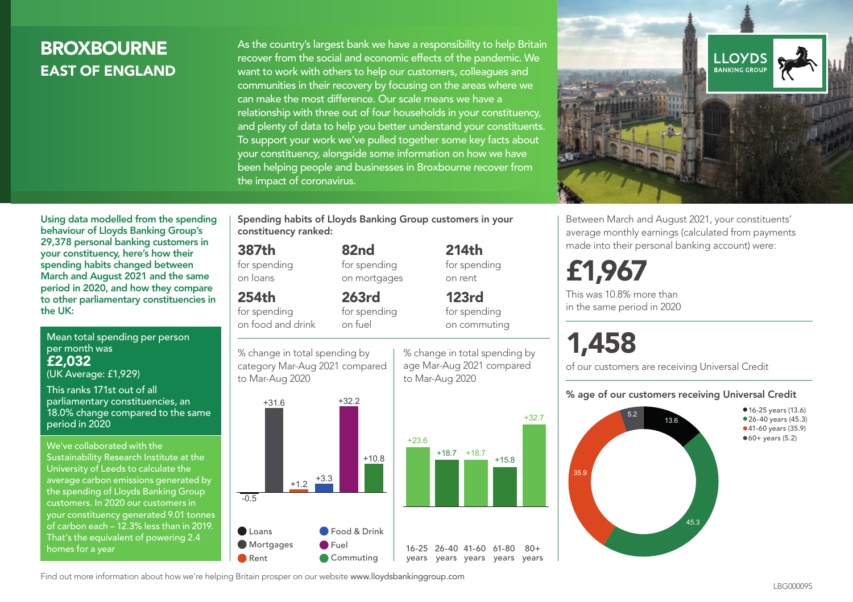## **BROXBOURNE** EAST OF ENGLAND

As the country's largest bank we have a responsibility to help Britain recover from the social and economic effects of the pandemic. We want to work with others to help our customers, colleagues and communities in their recovery by focusing on the areas where we can make the most difference. Our scale means we have a relationship with three out of four households in your constituency, and plenty of data to help you better understand your constituents. To support your work we've pulled together some key facts about your constituency, alongside some information on how we have been helping people and businesses in Broxbourne recover from the impact of coronavirus.



Between March and August 2021, your constituents' average monthly earnings (calculated from payments made into their personal banking account) were:

## £1,967

This was 10.8% more than in the same period in 2020

# 1,458

of our customers are receiving Universal Credit

#### % age of our customers receiving Universal Credit



Using data modelled from the spending behaviour of Lloyds Banking Group's 29,378 personal banking customers in your constituency, here's how their spending habits changed between March and August 2021 and the same period in 2020, and how they compare to other parliamentary constituencies in the UK:

Mean total spending per person per month was £2,032 (UK Average: £1,929)

This ranks 171st out of all parliamentary constituencies, an 18.0% change compared to the same period in 2020

We've collaborated with the Sustainability Research Institute at the University of Leeds to calculate the average carbon emissions generated by the spending of Lloyds Banking Group customers. In 2020 our customers in your constituency generated 9.01 tonnes of carbon each – 12.3% less than in 2019. That's the equivalent of powering 2.4 homes for a year

Spending habits of Lloyds Banking Group customers in your constituency ranked:

> 82nd for spending on mortgages

263rd for spending

#### 387th

for spending on loans

### 254th

for spending on food and drink

% change in total spending by on fuel

category Mar-Aug 2021 compared to Mar-Aug 2020



% change in total spending by age Mar-Aug 2021 compared to Mar-Aug 2020

214th for spending

on rent 123rd for spending on commuting

+32.7

 $80 +$